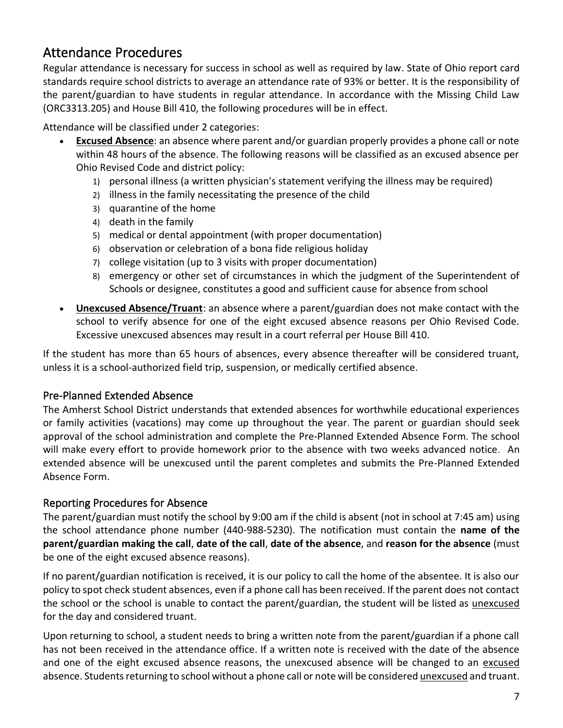# Attendance Procedures

Regular attendance is necessary for success in school as well as required by law. State of Ohio report card standards require school districts to average an attendance rate of 93% or better. It is the responsibility of the parent/guardian to have students in regular attendance. In accordance with the Missing Child Law (ORC3313.205) and House Bill 410, the following procedures will be in effect.

Attendance will be classified under 2 categories:

- **Excused Absence**: an absence where parent and/or guardian properly provides a phone call or note within 48 hours of the absence. The following reasons will be classified as an excused absence per Ohio Revised Code and district policy:
	- 1) personal illness (a written physician's statement verifying the illness may be required)
	- 2) illness in the family necessitating the presence of the child
	- 3) quarantine of the home
	- 4) death in the family
	- 5) medical or dental appointment (with proper documentation)
	- 6) observation or celebration of a bona fide religious holiday
	- 7) college visitation (up to 3 visits with proper documentation)
	- 8) emergency or other set of circumstances in which the judgment of the Superintendent of Schools or designee, constitutes a good and sufficient cause for absence from school
- **Unexcused Absence/Truant**: an absence where a parent/guardian does not make contact with the school to verify absence for one of the eight excused absence reasons per Ohio Revised Code. Excessive unexcused absences may result in a court referral per House Bill 410.

If the student has more than 65 hours of absences, every absence thereafter will be considered truant, unless it is a school-authorized field trip, suspension, or medically certified absence.

## Pre-Planned Extended Absence

The Amherst School District understands that extended absences for worthwhile educational experiences or family activities (vacations) may come up throughout the year. The parent or guardian should seek approval of the school administration and complete the Pre-Planned Extended Absence Form. The school will make every effort to provide homework prior to the absence with two weeks advanced notice. An extended absence will be unexcused until the parent completes and submits the Pre-Planned Extended Absence Form.

## Reporting Procedures for Absence

The parent/guardian must notify the school by 9:00 am if the child is absent (not in school at 7:45 am) using the school attendance phone number (440-988-5230). The notification must contain the **name of the parent/guardian making the call**, **date of the call**, **date of the absence**, and **reason for the absence** (must be one of the eight excused absence reasons).

If no parent/guardian notification is received, it is our policy to call the home of the absentee. It is also our policy to spot check student absences, even if a phone call has been received. If the parent does not contact the school or the school is unable to contact the parent/guardian, the student will be listed as unexcused for the day and considered truant.

Upon returning to school, a student needs to bring a written note from the parent/guardian if a phone call has not been received in the attendance office. If a written note is received with the date of the absence and one of the eight excused absence reasons, the unexcused absence will be changed to an excused absence. Students returning to school without a phone call or note will be considered unexcused and truant.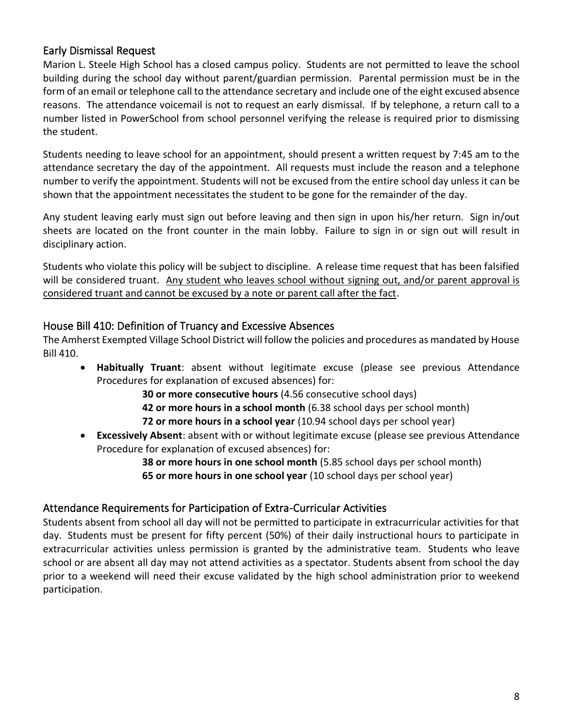## Early Dismissal Request

Marion L. Steele High School has a closed campus policy. Students are not permitted to leave the school building during the school day without parent/guardian permission. Parental permission must be in the form of an email or telephone call to the attendance secretary and include one of the eight excused absence reasons. The attendance voicemail is not to request an early dismissal. If by telephone, a return call to a number listed in PowerSchool from school personnel verifying the release is required prior to dismissing the student.

Students needing to leave school for an appointment, should present a written request by 7:45 am to the attendance secretary the day of the appointment. All requests must include the reason and a telephone number to verify the appointment. Students will not be excused from the entire school day unless it can be shown that the appointment necessitates the student to be gone for the remainder of the day.

Any student leaving early must sign out before leaving and then sign in upon his/her return. Sign in/out sheets are located on the front counter in the main lobby. Failure to sign in or sign out will result in disciplinary action.

Students who violate this policy will be subject to discipline. A release time request that has been falsified will be considered truant. Any student who leaves school without signing out, and/or parent approval is considered truant and cannot be excused by a note or parent call after the fact.

### House Bill 410: Definition of Truancy and Excessive Absences

The Amherst Exempted Village School District will follow the policies and procedures as mandated by House Bill 410.

• **Habitually Truant**: absent without legitimate excuse (please see previous Attendance Procedures for explanation of excused absences) for:

> **30 or more consecutive hours** (4.56 consecutive school days) **42 or more hours in a school month** (6.38 school days per school month)

- **72 or more hours in a school year** (10.94 school days per school year)
- **Excessively Absent**: absent with or without legitimate excuse (please see previous Attendance Procedure for explanation of excused absences) for:

**38 or more hours in one school month** (5.85 school days per school month) **65 or more hours in one school year** (10 school days per school year)

#### Attendance Requirements for Participation of Extra-Curricular Activities

Students absent from school all day will not be permitted to participate in extracurricular activities for that day. Students must be present for fifty percent (50%) of their daily instructional hours to participate in extracurricular activities unless permission is granted by the administrative team. Students who leave school or are absent all day may not attend activities as a spectator. Students absent from school the day prior to a weekend will need their excuse validated by the high school administration prior to weekend participation.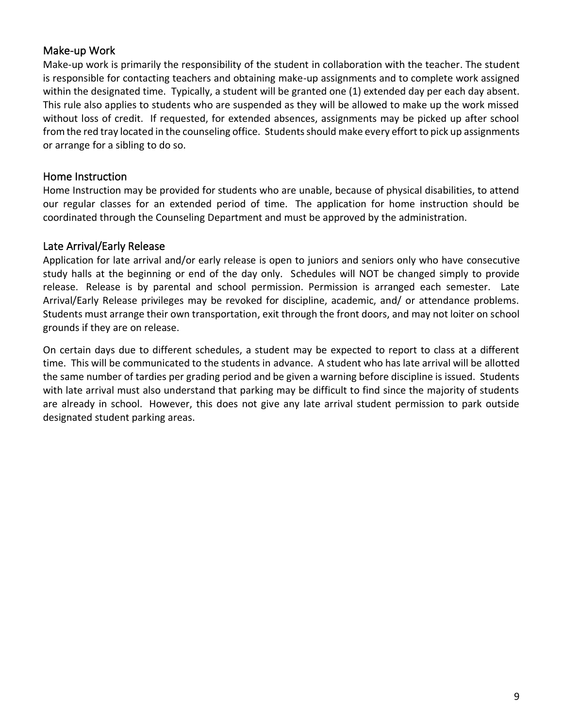## Make-up Work

Make-up work is primarily the responsibility of the student in collaboration with the teacher. The student is responsible for contacting teachers and obtaining make-up assignments and to complete work assigned within the designated time. Typically, a student will be granted one (1) extended day per each day absent. This rule also applies to students who are suspended as they will be allowed to make up the work missed without loss of credit. If requested, for extended absences, assignments may be picked up after school from the red tray located in the counseling office. Students should make every effort to pick up assignments or arrange for a sibling to do so.

### Home Instruction

Home Instruction may be provided for students who are unable, because of physical disabilities, to attend our regular classes for an extended period of time. The application for home instruction should be coordinated through the Counseling Department and must be approved by the administration.

### Late Arrival/Early Release

Application for late arrival and/or early release is open to juniors and seniors only who have consecutive study halls at the beginning or end of the day only. Schedules will NOT be changed simply to provide release. Release is by parental and school permission. Permission is arranged each semester. Late Arrival/Early Release privileges may be revoked for discipline, academic, and/ or attendance problems. Students must arrange their own transportation, exit through the front doors, and may not loiter on school grounds if they are on release.

On certain days due to different schedules, a student may be expected to report to class at a different time. This will be communicated to the students in advance. A student who has late arrival will be allotted the same number of tardies per grading period and be given a warning before discipline is issued. Students with late arrival must also understand that parking may be difficult to find since the majority of students are already in school. However, this does not give any late arrival student permission to park outside designated student parking areas.